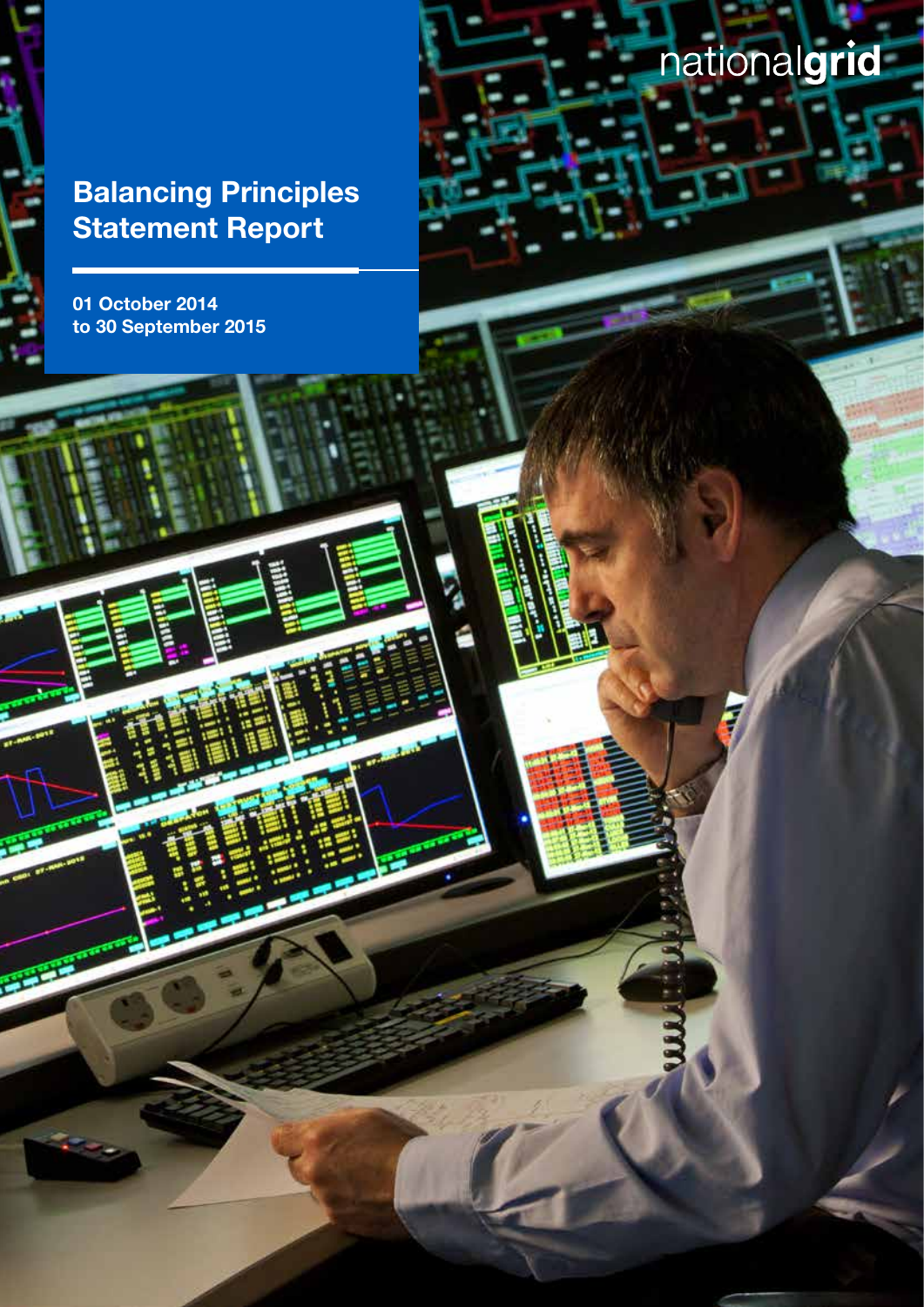01 October 2014 to 30 September 2015

# nationalgrid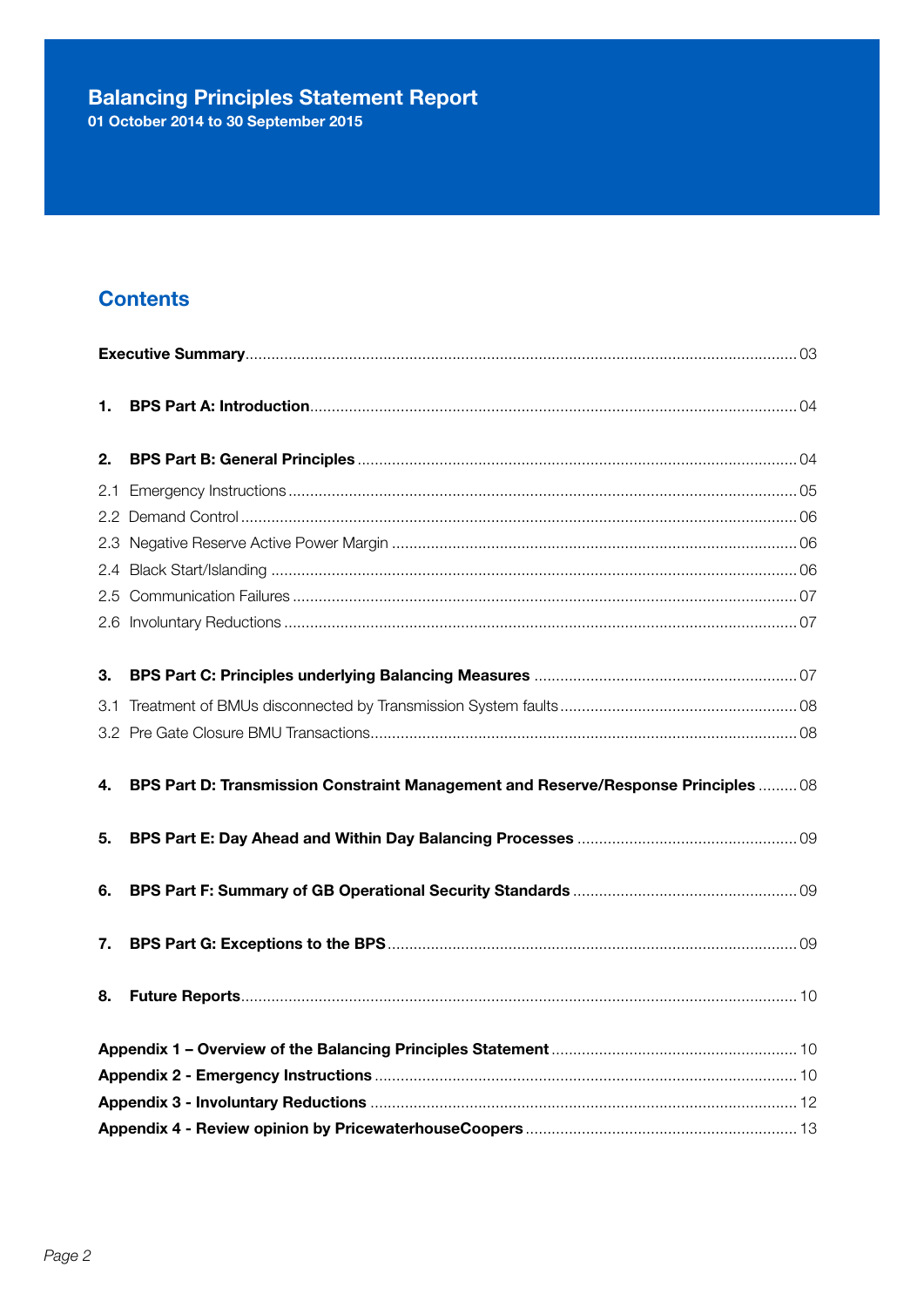# **Balancing Principles Statement Report**<br>01 October 2014 to 30 September 2015

## **Contents**

| 1. |                                                                                    |  |  |  |  |
|----|------------------------------------------------------------------------------------|--|--|--|--|
| 2. |                                                                                    |  |  |  |  |
|    |                                                                                    |  |  |  |  |
|    |                                                                                    |  |  |  |  |
|    |                                                                                    |  |  |  |  |
|    |                                                                                    |  |  |  |  |
|    |                                                                                    |  |  |  |  |
|    |                                                                                    |  |  |  |  |
|    |                                                                                    |  |  |  |  |
| 3. |                                                                                    |  |  |  |  |
|    |                                                                                    |  |  |  |  |
|    |                                                                                    |  |  |  |  |
|    |                                                                                    |  |  |  |  |
| 4. | BPS Part D: Transmission Constraint Management and Reserve/Response Principles  08 |  |  |  |  |
| 5. |                                                                                    |  |  |  |  |
|    |                                                                                    |  |  |  |  |
| 6. |                                                                                    |  |  |  |  |
| 7. |                                                                                    |  |  |  |  |
| 8. |                                                                                    |  |  |  |  |
|    |                                                                                    |  |  |  |  |
|    |                                                                                    |  |  |  |  |
|    |                                                                                    |  |  |  |  |
|    |                                                                                    |  |  |  |  |
|    |                                                                                    |  |  |  |  |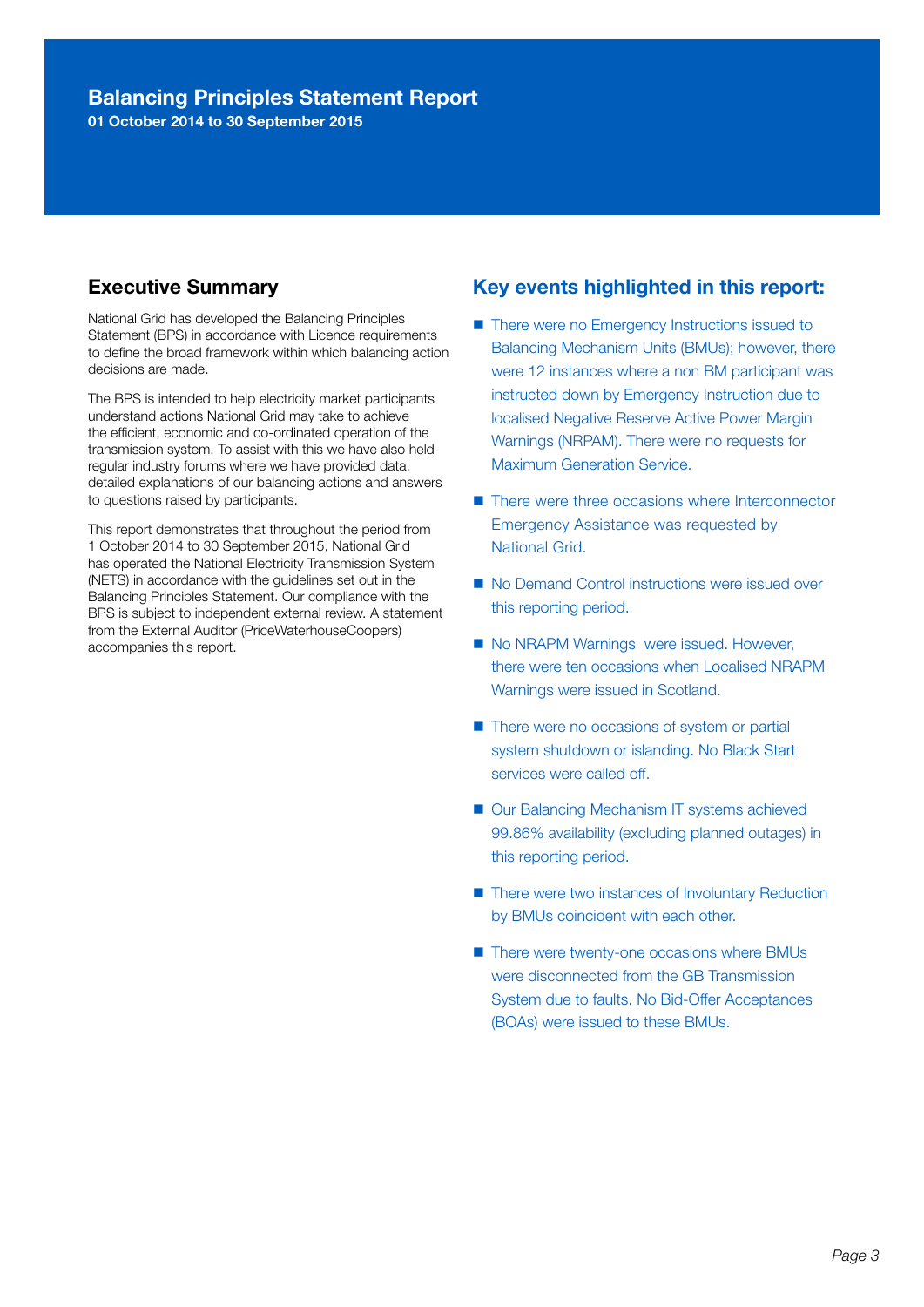01 October 2014 to 30 September 2015

#### Executive Summary

National Grid has developed the Balancing Principles Statement (BPS) in accordance with Licence requirements to define the broad framework within which balancing action decisions are made.

The BPS is intended to help electricity market participants understand actions National Grid may take to achieve the efficient, economic and co-ordinated operation of the transmission system. To assist with this we have also held regular industry forums where we have provided data, detailed explanations of our balancing actions and answers to questions raised by participants.

This report demonstrates that throughout the period from 1 October 2014 to 30 September 2015, National Grid has operated the National Electricity Transmission System (NETS) in accordance with the guidelines set out in the Balancing Principles Statement. Our compliance with the BPS is subject to independent external review. A statement from the External Auditor (PriceWaterhouseCoopers) accompanies this report.

#### Key events highlighted in this report:

- There were no Emergency Instructions issued to Balancing Mechanism Units (BMUs); however, there were 12 instances where a non BM participant was instructed down by Emergency Instruction due to localised Negative Reserve Active Power Margin Warnings (NRPAM). There were no requests for Maximum Generation Service.
- There were three occasions where Interconnector Emergency Assistance was requested by National Grid.
- No Demand Control instructions were issued over this reporting period.
- No NRAPM Warnings were issued. However, there were ten occasions when Localised NRAPM Warnings were issued in Scotland.
- There were no occasions of system or partial system shutdown or islanding. No Black Start services were called off.
- Our Balancing Mechanism IT systems achieved 99.86% availability (excluding planned outages) in this reporting period.
- There were two instances of Involuntary Reduction by BMUs coincident with each other.
- There were twenty-one occasions where BMUs were disconnected from the GB Transmission System due to faults. No Bid-Offer Acceptances (BOAs) were issued to these BMUs.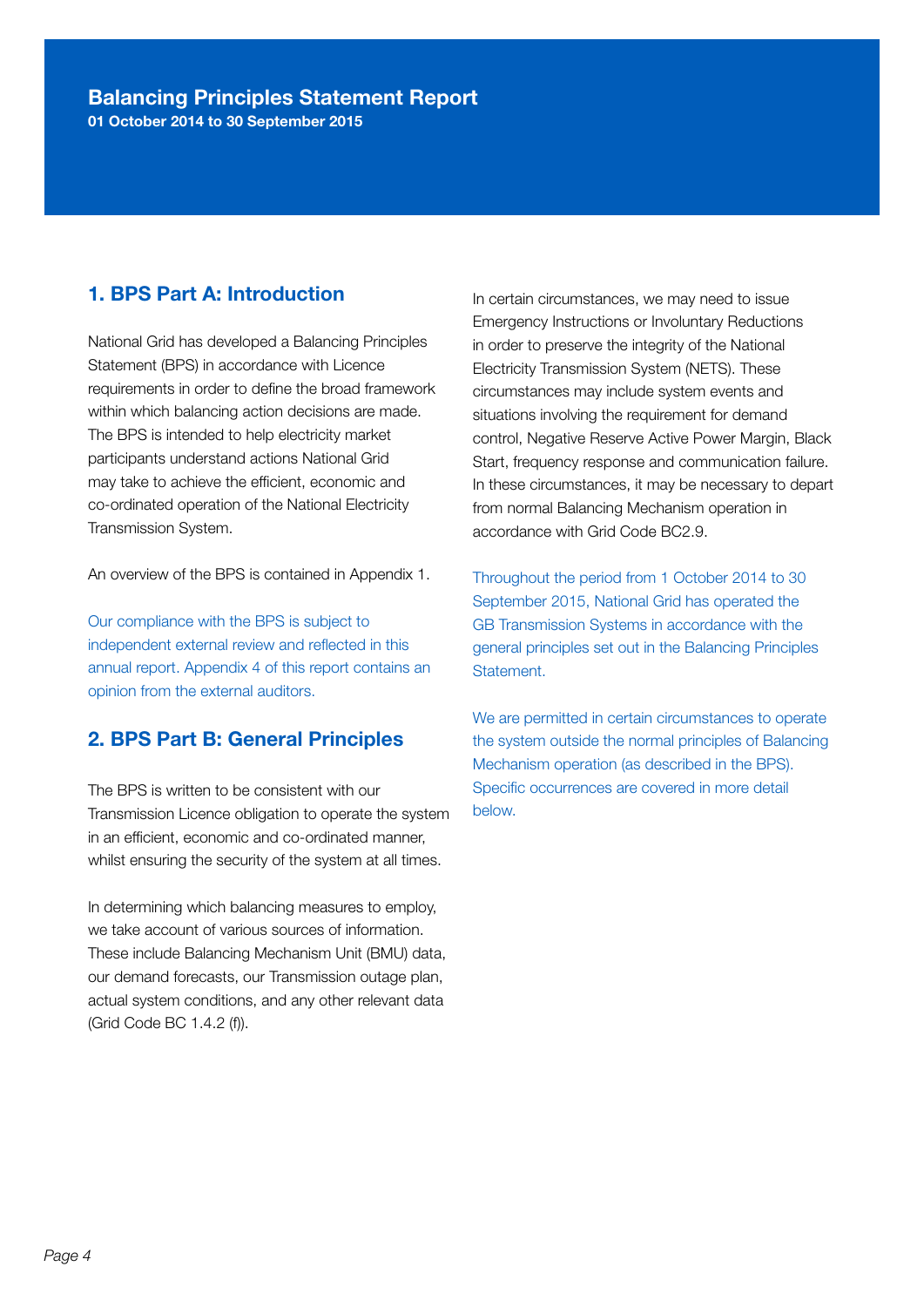01 October 2014 to 30 September 2015

#### 1. BPS Part A: Introduction

National Grid has developed a Balancing Principles Statement (BPS) in accordance with Licence requirements in order to define the broad framework within which balancing action decisions are made. The BPS is intended to help electricity market participants understand actions National Grid may take to achieve the efficient, economic and co-ordinated operation of the National Electricity Transmission System.

An overview of the BPS is contained in Appendix 1.

Our compliance with the BPS is subject to independent external review and reflected in this annual report. Appendix 4 of this report contains an opinion from the external auditors.

#### 2. BPS Part B: General Principles

The BPS is written to be consistent with our Transmission Licence obligation to operate the system in an efficient, economic and co-ordinated manner, whilst ensuring the security of the system at all times.

In determining which balancing measures to employ, we take account of various sources of information. These include Balancing Mechanism Unit (BMU) data, our demand forecasts, our Transmission outage plan, actual system conditions, and any other relevant data (Grid Code BC 1.4.2 (f)).

In certain circumstances, we may need to issue Emergency Instructions or Involuntary Reductions in order to preserve the integrity of the National Electricity Transmission System (NETS). These circumstances may include system events and situations involving the requirement for demand control, Negative Reserve Active Power Margin, Black Start, frequency response and communication failure. In these circumstances, it may be necessary to depart from normal Balancing Mechanism operation in accordance with Grid Code BC2.9.

Throughout the period from 1 October 2014 to 30 September 2015, National Grid has operated the GB Transmission Systems in accordance with the general principles set out in the Balancing Principles Statement.

We are permitted in certain circumstances to operate the system outside the normal principles of Balancing Mechanism operation (as described in the BPS). Specific occurrences are covered in more detail below.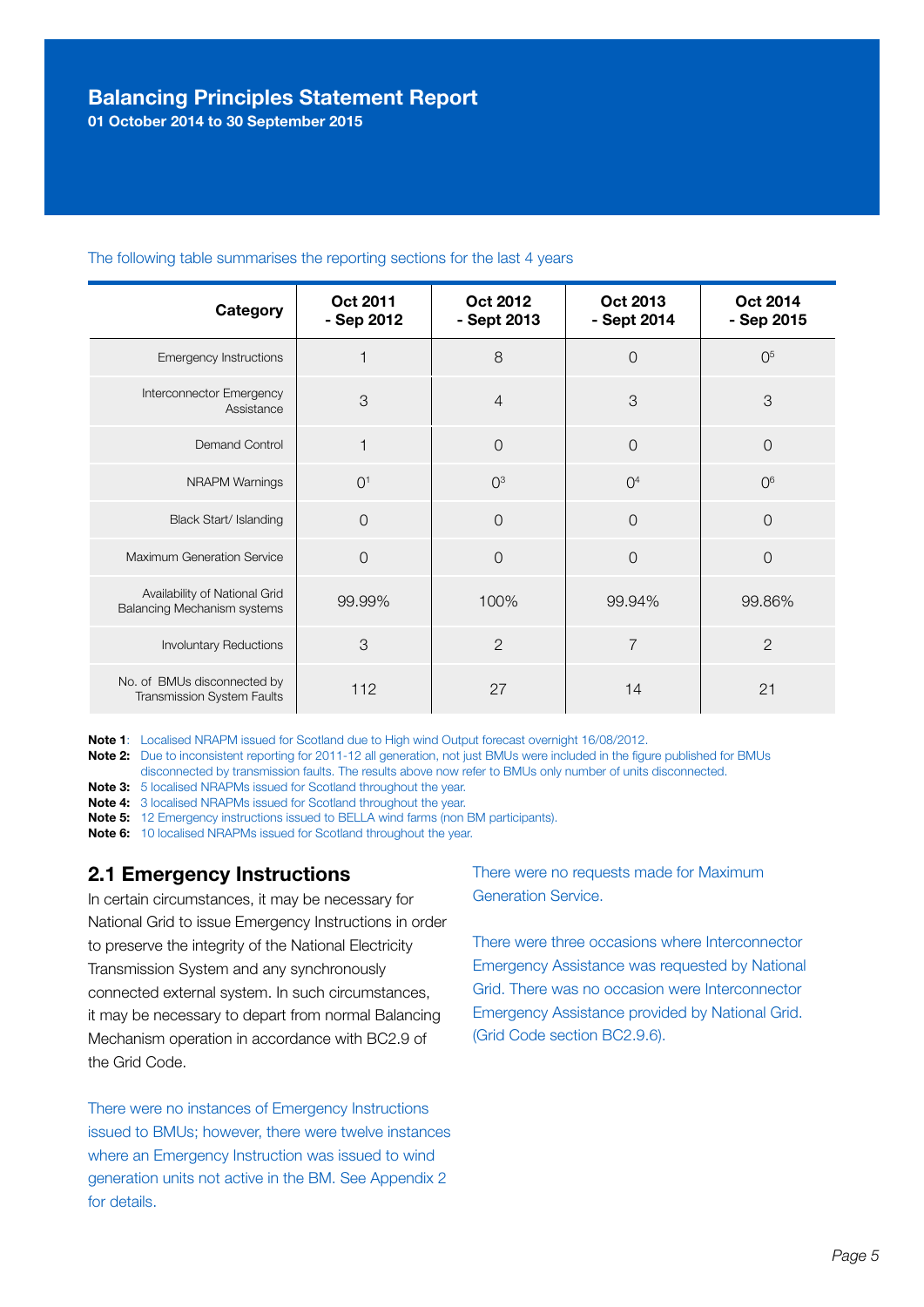01 October 2014 to 30 September 2015

| Category                                                            | <b>Oct 2011</b><br>- Sep 2012 | <b>Oct 2012</b><br>- Sept 2013 | Oct 2013<br>- Sept 2014 | Oct 2014<br>- Sep 2015 |
|---------------------------------------------------------------------|-------------------------------|--------------------------------|-------------------------|------------------------|
| <b>Emergency Instructions</b>                                       |                               | 8                              | $\overline{0}$          | 0 <sup>5</sup>         |
| Interconnector Emergency<br>Assistance                              | 3                             | $\overline{4}$                 | 3                       | 3                      |
| Demand Control                                                      | 1                             | $\overline{0}$                 | $\overline{0}$          | $\Omega$               |
| <b>NRAPM Warnings</b>                                               | O <sup>1</sup>                | O <sup>3</sup>                 | O <sup>4</sup>          | O <sup>6</sup>         |
| Black Start/ Islanding                                              | $\overline{0}$                | $\overline{O}$                 | $\overline{0}$          | $\overline{0}$         |
| Maximum Generation Service                                          | $\Omega$                      | $\overline{O}$                 | $\overline{0}$          | $\overline{0}$         |
| Availability of National Grid<br><b>Balancing Mechanism systems</b> | 99.99%                        | 100%                           | 99.94%                  | 99.86%                 |
| <b>Involuntary Reductions</b>                                       | 3                             | $\overline{2}$                 | $\overline{7}$          | $\overline{2}$         |
| No. of BMUs disconnected by<br>Transmission System Faults           | 112                           | 27                             | 14                      | 21                     |

#### The following table summarises the reporting sections for the last 4 years

Note 1: Localised NRAPM issued for Scotland due to High wind Output forecast overnight 16/08/2012.

Note 2: Due to inconsistent reporting for 2011-12 all generation, not just BMUs were included in the figure published for BMUs disconnected by transmission faults. The results above now refer to BMUs only number of units disconnected.

Note 3: 5 localised NRAPMs issued for Scotland throughout the year.

Note 4: 3 localised NRAPMs issued for Scotland throughout the year.

Note 5: 12 Emergency instructions issued to BELLA wind farms (non BM participants).

Note 6: 10 localised NRAPMs issued for Scotland throughout the year.

#### 2.1 Emergency Instructions

In certain circumstances, it may be necessary for National Grid to issue Emergency Instructions in order to preserve the integrity of the National Electricity Transmission System and any synchronously connected external system. In such circumstances, it may be necessary to depart from normal Balancing Mechanism operation in accordance with BC2.9 of the Grid Code.

There were no instances of Emergency Instructions issued to BMUs; however, there were twelve instances where an Emergency Instruction was issued to wind generation units not active in the BM. See Appendix 2 for details.

There were no requests made for Maximum Generation Service.

There were three occasions where Interconnector Emergency Assistance was requested by National Grid. There was no occasion were Interconnector Emergency Assistance provided by National Grid. (Grid Code section BC2.9.6).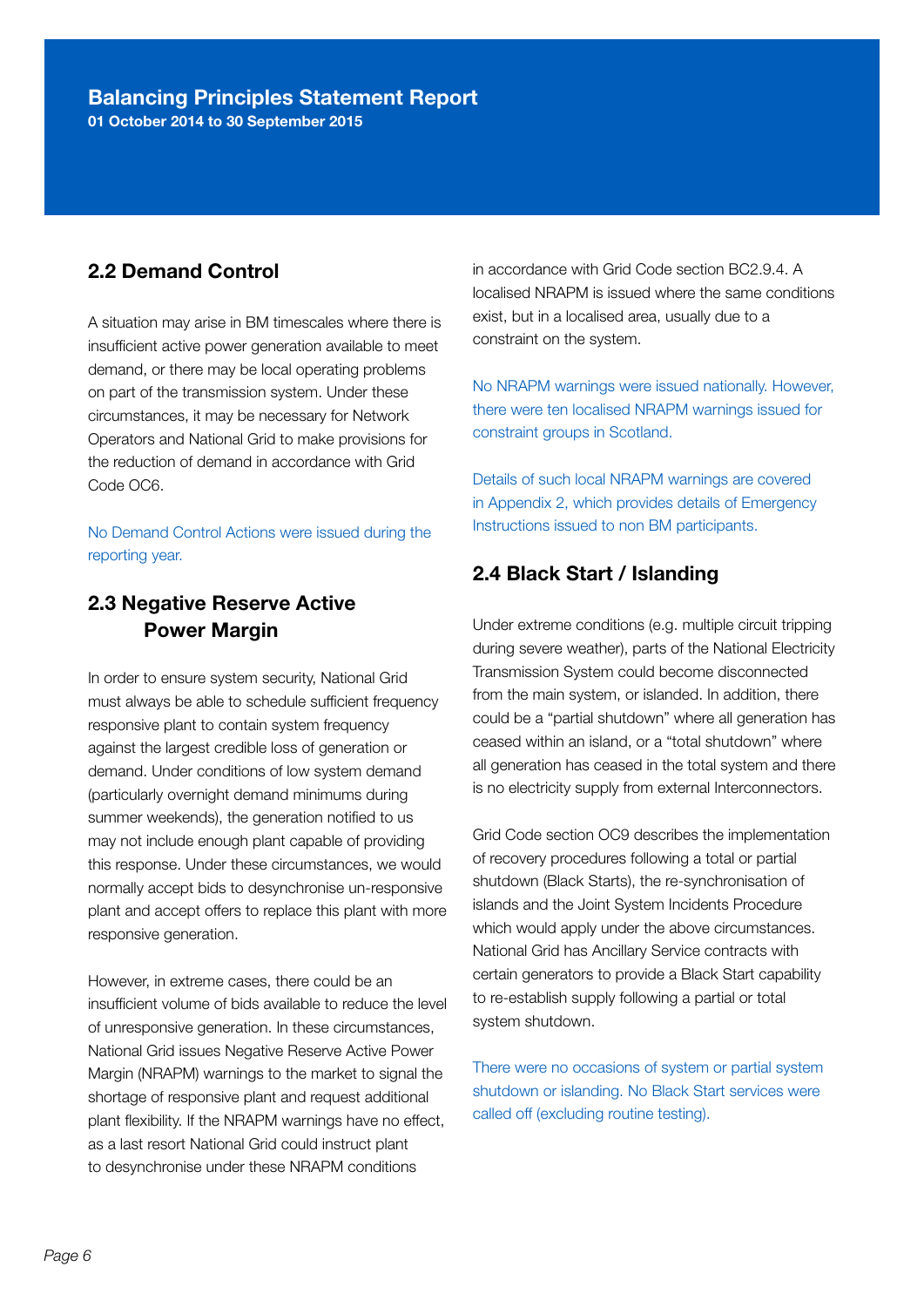01 October 2014 to 30 September 2015

#### 2.2 Demand Control

A situation may arise in BM timescales where there is insufficient active power generation available to meet demand, or there may be local operating problems on part of the transmission system. Under these circumstances, it may be necessary for Network Operators and National Grid to make provisions for the reduction of demand in accordance with Grid Code OC6.

No Demand Control Actions were issued during the reporting year.

#### 2.3 Negative Reserve Active Power Margin

In order to ensure system security, National Grid must always be able to schedule sufficient frequency responsive plant to contain system frequency against the largest credible loss of generation or demand. Under conditions of low system demand (particularly overnight demand minimums during summer weekends), the generation notified to us may not include enough plant capable of providing this response. Under these circumstances, we would normally accept bids to desynchronise un-responsive plant and accept offers to replace this plant with more responsive generation.

However, in extreme cases, there could be an insufficient volume of bids available to reduce the level of unresponsive generation. In these circumstances, National Grid issues Negative Reserve Active Power Margin (NRAPM) warnings to the market to signal the shortage of responsive plant and request additional plant flexibility. If the NRAPM warnings have no effect, as a last resort National Grid could instruct plant to desynchronise under these NRAPM conditions

in accordance with Grid Code section BC2.9.4. A localised NRAPM is issued where the same conditions exist, but in a localised area, usually due to a constraint on the system.

No NRAPM warnings were issued nationally. However, there were ten localised NRAPM warnings issued for constraint groups in Scotland.

Details of such local NRAPM warnings are covered in Appendix 2, which provides details of Emergency Instructions issued to non BM participants.

#### 2.4 Black Start / Islanding

Under extreme conditions (e.g. multiple circuit tripping during severe weather), parts of the National Electricity Transmission System could become disconnected from the main system, or islanded. In addition, there could be a "partial shutdown" where all generation has ceased within an island, or a "total shutdown" where all generation has ceased in the total system and there is no electricity supply from external Interconnectors.

Grid Code section OC9 describes the implementation of recovery procedures following a total or partial shutdown (Black Starts), the re-synchronisation of islands and the Joint System Incidents Procedure which would apply under the above circumstances. National Grid has Ancillary Service contracts with certain generators to provide a Black Start capability to re-establish supply following a partial or total system shutdown.

There were no occasions of system or partial system shutdown or islanding. No Black Start services were called off (excluding routine testing).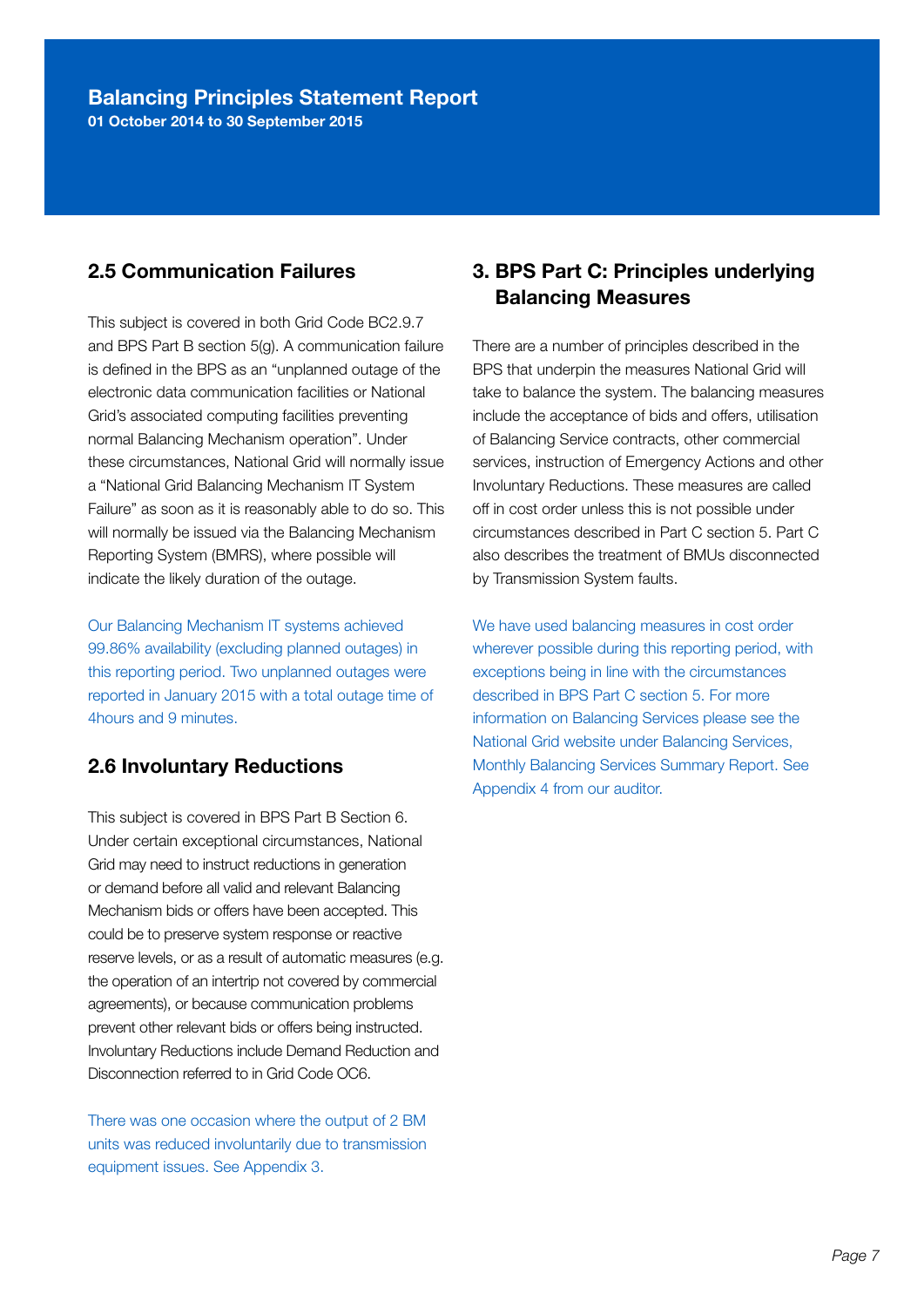01 October 2014 to 30 September 2015

### 2.5 Communication Failures

This subject is covered in both Grid Code BC2.9.7 and BPS Part B section 5(g). A communication failure is defined in the BPS as an "unplanned outage of the electronic data communication facilities or National Grid's associated computing facilities preventing normal Balancing Mechanism operation". Under these circumstances, National Grid will normally issue a "National Grid Balancing Mechanism IT System Failure" as soon as it is reasonably able to do so. This will normally be issued via the Balancing Mechanism Reporting System (BMRS), where possible will indicate the likely duration of the outage.

Our Balancing Mechanism IT systems achieved 99.86% availability (excluding planned outages) in this reporting period. Two unplanned outages were reported in January 2015 with a total outage time of 4hours and 9 minutes.

#### 2.6 Involuntary Reductions

This subject is covered in BPS Part B Section 6. Under certain exceptional circumstances, National Grid may need to instruct reductions in generation or demand before all valid and relevant Balancing Mechanism bids or offers have been accepted. This could be to preserve system response or reactive reserve levels, or as a result of automatic measures (e.g. the operation of an intertrip not covered by commercial agreements), or because communication problems prevent other relevant bids or offers being instructed. Involuntary Reductions include Demand Reduction and Disconnection referred to in Grid Code OC6.

There was one occasion where the output of 2 BM units was reduced involuntarily due to transmission equipment issues. See Appendix 3.

#### 3. BPS Part C: Principles underlying Balancing Measures

There are a number of principles described in the BPS that underpin the measures National Grid will take to balance the system. The balancing measures include the acceptance of bids and offers, utilisation of Balancing Service contracts, other commercial services, instruction of Emergency Actions and other Involuntary Reductions. These measures are called off in cost order unless this is not possible under circumstances described in Part C section 5. Part C also describes the treatment of BMUs disconnected by Transmission System faults.

We have used balancing measures in cost order wherever possible during this reporting period, with exceptions being in line with the circumstances described in BPS Part C section 5. For more information on Balancing Services please see the National Grid website under Balancing Services, Monthly Balancing Services Summary Report. See Appendix 4 from our auditor.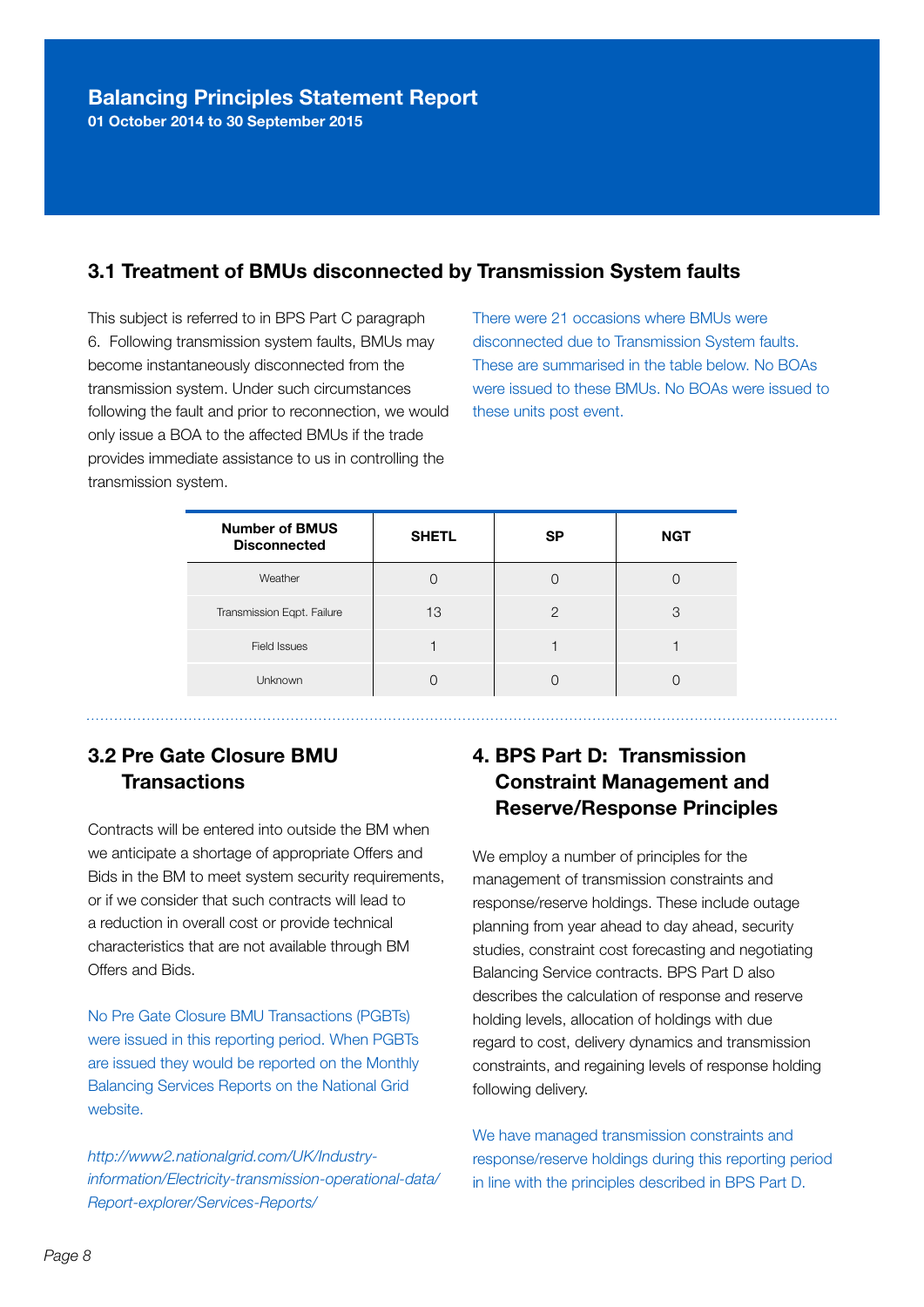#### 3.1 Treatment of BMUs disconnected by Transmission System faults

This subject is referred to in BPS Part C paragraph 6. Following transmission system faults, BMUs may become instantaneously disconnected from the transmission system. Under such circumstances following the fault and prior to reconnection, we would only issue a BOA to the affected BMUs if the trade provides immediate assistance to us in controlling the transmission system.

There were 21 occasions where BMUs were disconnected due to Transmission System faults. These are summarised in the table below. No BOAs were issued to these BMUs. No BOAs were issued to these units post event.

| <b>Number of BMUS</b><br><b>Disconnected</b> | <b>SHETL</b> | <b>SP</b> | <b>NGT</b> |
|----------------------------------------------|--------------|-----------|------------|
| Weather                                      |              |           |            |
| Transmission Eqpt. Failure                   | 13           | 2         | 3          |
| <b>Field Issues</b>                          |              |           |            |
| Unknown                                      |              |           |            |

### 3.2 Pre Gate Closure BMU **Transactions**

Contracts will be entered into outside the BM when we anticipate a shortage of appropriate Offers and Bids in the BM to meet system security requirements, or if we consider that such contracts will lead to a reduction in overall cost or provide technical characteristics that are not available through BM Offers and Bids.

No Pre Gate Closure BMU Transactions (PGBTs) were issued in this reporting period. When PGBTs are issued they would be reported on the Monthly Balancing Services Reports on the National Grid website.

*http://www2.nationalgrid.com/UK/Industryinformation/Electricity-transmission-operational-data/ Report-explorer/Services-Reports/* 

## 4. BPS Part D: Transmission Constraint Management and Reserve/Response Principles

We employ a number of principles for the management of transmission constraints and response/reserve holdings. These include outage planning from year ahead to day ahead, security studies, constraint cost forecasting and negotiating Balancing Service contracts. BPS Part D also describes the calculation of response and reserve holding levels, allocation of holdings with due regard to cost, delivery dynamics and transmission constraints, and regaining levels of response holding following delivery.

We have managed transmission constraints and response/reserve holdings during this reporting period in line with the principles described in BPS Part D.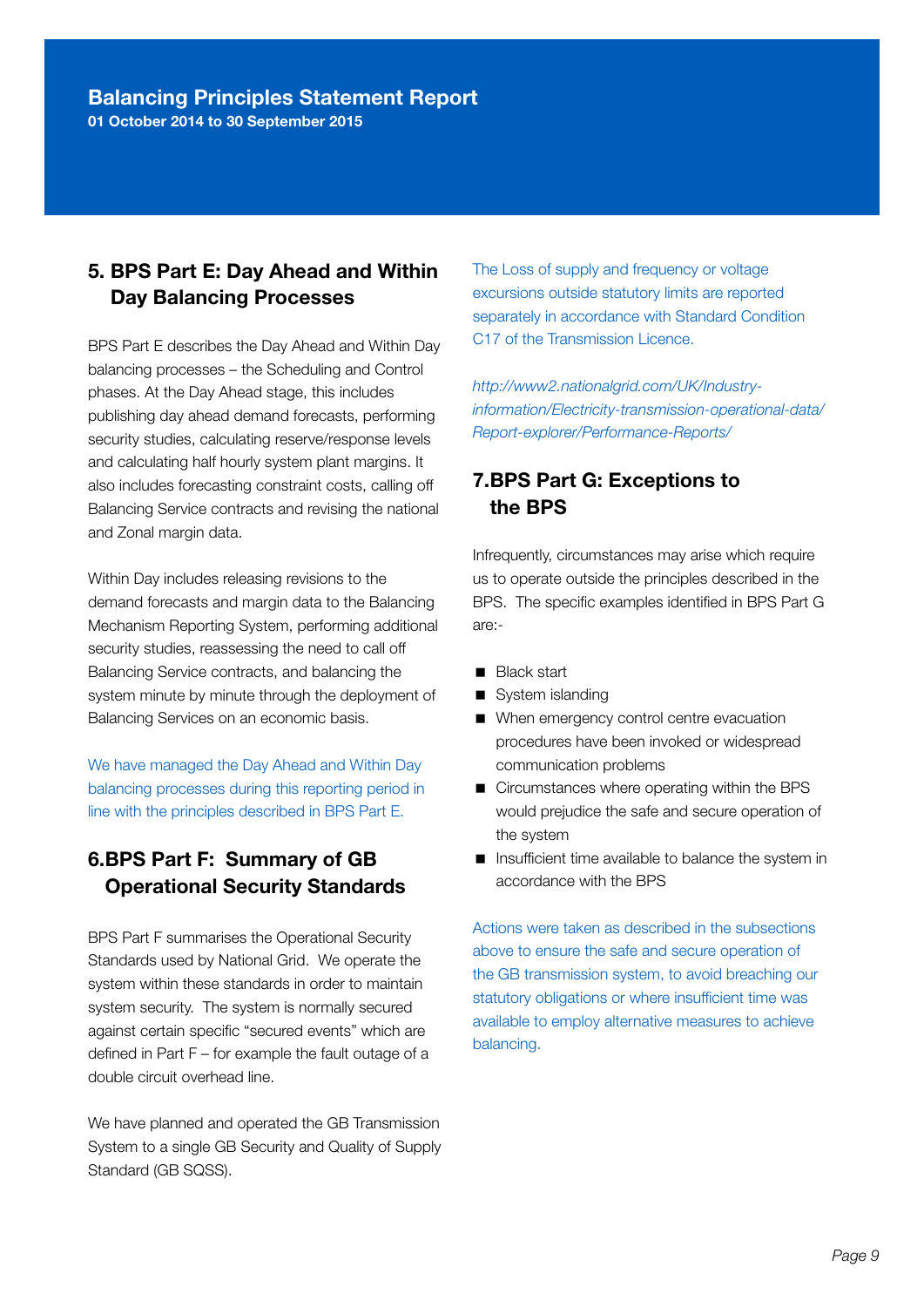01 October 2014 to 30 September 2015

#### 5. BPS Part E: Day Ahead and Within Day Balancing Processes

BPS Part E describes the Day Ahead and Within Day balancing processes – the Scheduling and Control phases. At the Day Ahead stage, this includes publishing day ahead demand forecasts, performing security studies, calculating reserve/response levels and calculating half hourly system plant margins. It also includes forecasting constraint costs, calling off Balancing Service contracts and revising the national and Zonal margin data.

Within Day includes releasing revisions to the demand forecasts and margin data to the Balancing Mechanism Reporting System, performing additional security studies, reassessing the need to call off Balancing Service contracts, and balancing the system minute by minute through the deployment of Balancing Services on an economic basis.

We have managed the Day Ahead and Within Day balancing processes during this reporting period in line with the principles described in BPS Part E.

### 6. BPS Part F: Summary of GB Operational Security Standards

BPS Part F summarises the Operational Security Standards used by National Grid. We operate the system within these standards in order to maintain system security. The system is normally secured against certain specific "secured events" which are defined in Part F – for example the fault outage of a double circuit overhead line.

We have planned and operated the GB Transmission System to a single GB Security and Quality of Supply Standard (GB SQSS).

The Loss of supply and frequency or voltage excursions outside statutory limits are reported separately in accordance with Standard Condition C17 of the Transmission Licence.

*http://www2.nationalgrid.com/UK/Industryinformation/Electricity-transmission-operational-data/ Report-explorer/Performance-Reports/*

#### 7. BPS Part G: Exceptions to the BPS

Infrequently, circumstances may arise which require us to operate outside the principles described in the BPS. The specific examples identified in BPS Part G are:-

- **Black start**
- System islanding
- When emergency control centre evacuation procedures have been invoked or widespread communication problems
- Circumstances where operating within the BPS would prejudice the safe and secure operation of the system
- Insufficient time available to balance the system in accordance with the BPS

Actions were taken as described in the subsections above to ensure the safe and secure operation of the GB transmission system, to avoid breaching our statutory obligations or where insufficient time was available to employ alternative measures to achieve balancing.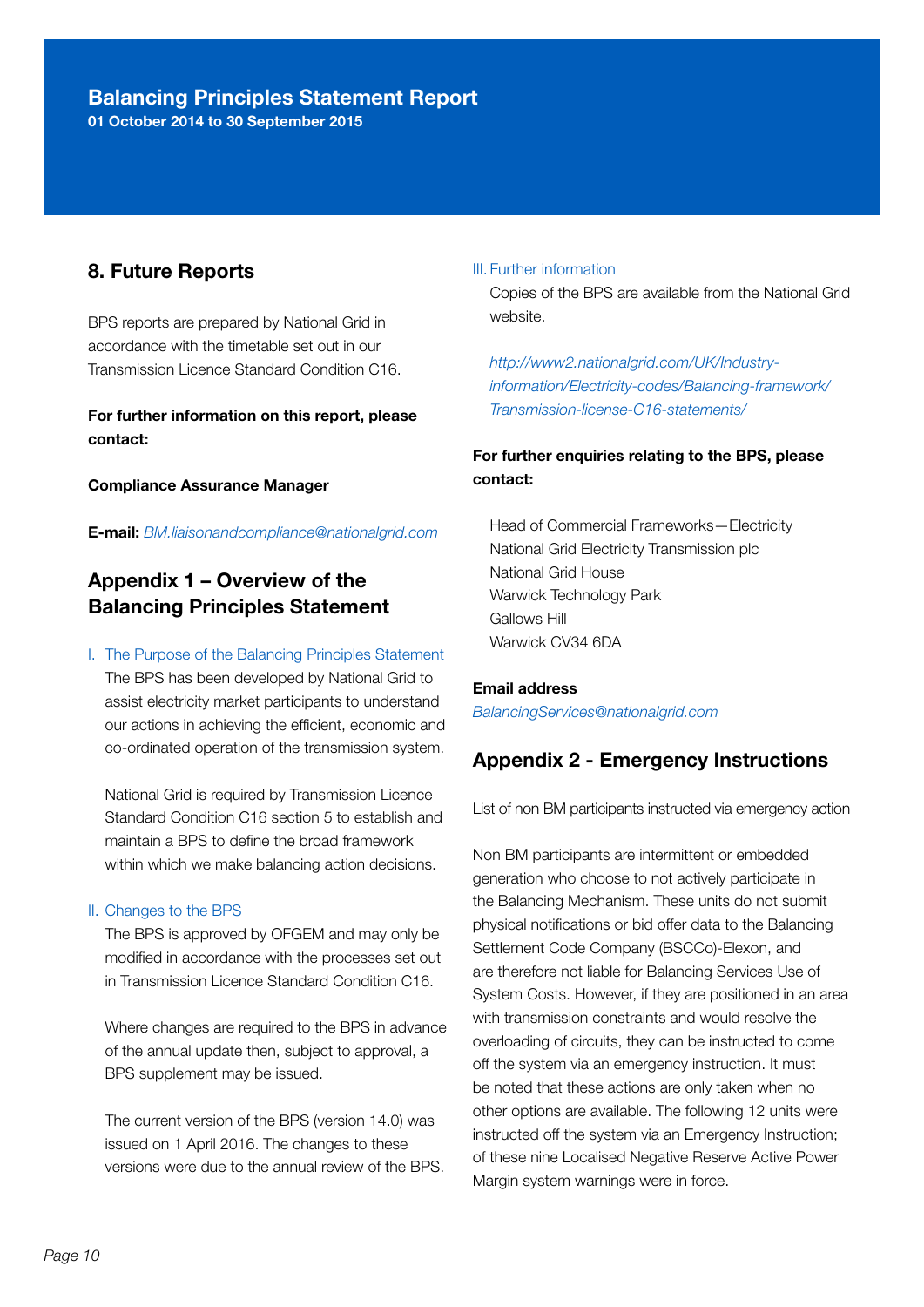01 October 2014 to 30 September 2015

#### 8. Future Reports

BPS reports are prepared by National Grid in accordance with the timetable set out in our Transmission Licence Standard Condition C16.

For further information on this report, please contact:

Compliance Assurance Manager

E-mail: *BM.liaisonandcompliance@nationalgrid.com* 

#### Appendix 1 – Overview of the Balancing Principles Statement

#### I. The Purpose of the Balancing Principles Statement

 The BPS has been developed by National Grid to assist electricity market participants to understand our actions in achieving the efficient, economic and co-ordinated operation of the transmission system.

 National Grid is required by Transmission Licence Standard Condition C16 section 5 to establish and maintain a BPS to define the broad framework within which we make balancing action decisions.

#### II. Changes to the BPS

 The BPS is approved by OFGEM and may only be modified in accordance with the processes set out in Transmission Licence Standard Condition C16.

 Where changes are required to the BPS in advance of the annual update then, subject to approval, a BPS supplement may be issued.

 The current version of the BPS (version 14.0) was issued on 1 April 2016. The changes to these versions were due to the annual review of the BPS.

#### III. Further information

 Copies of the BPS are available from the National Grid website.

 *http://www2.nationalgrid.com/UK/Industryinformation/Electricity-codes/Balancing-framework/ Transmission-license-C16-statements/* 

#### For further enquiries relating to the BPS, please contact:

Head of Commercial Frameworks—Electricity National Grid Electricity Transmission plc National Grid House Warwick Technology Park Gallows Hill Warwick CV34 6DA

Email address *BalancingServices@nationalgrid.com* 

#### Appendix 2 - Emergency Instructions

List of non BM participants instructed via emergency action

Non BM participants are intermittent or embedded generation who choose to not actively participate in the Balancing Mechanism. These units do not submit physical notifications or bid offer data to the Balancing Settlement Code Company (BSCCo)-Elexon, and are therefore not liable for Balancing Services Use of System Costs. However, if they are positioned in an area with transmission constraints and would resolve the overloading of circuits, they can be instructed to come off the system via an emergency instruction. It must be noted that these actions are only taken when no other options are available. The following 12 units were instructed off the system via an Emergency Instruction; of these nine Localised Negative Reserve Active Power Margin system warnings were in force.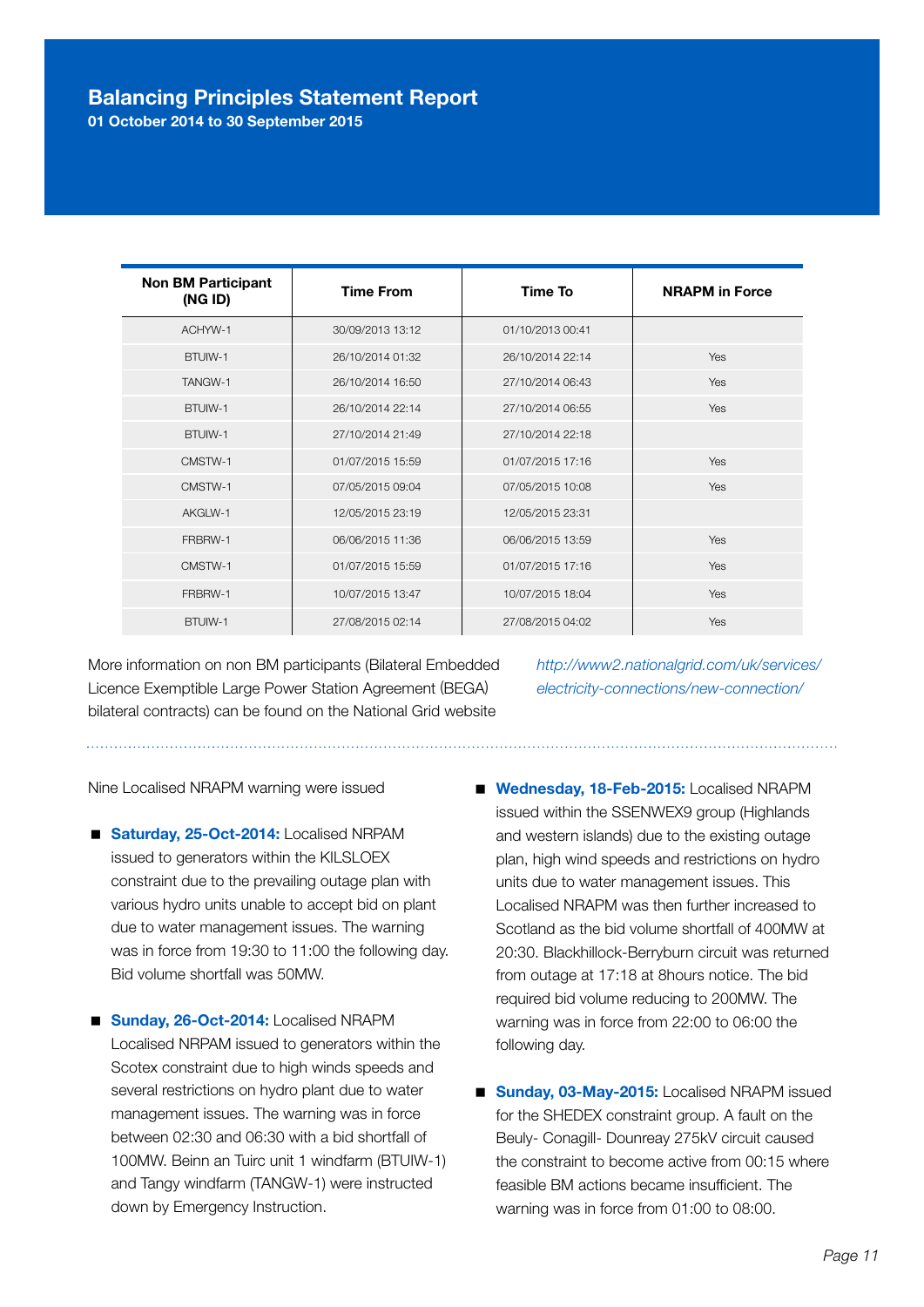01 October 2014 to 30 September 2015

| <b>Non BM Participant</b><br>(NG ID) | <b>Time From</b> | Time To          | <b>NRAPM</b> in Force |
|--------------------------------------|------------------|------------------|-----------------------|
| ACHYW-1                              | 30/09/2013 13:12 | 01/10/2013 00:41 |                       |
| BTUIW-1                              | 26/10/2014 01:32 | 26/10/2014 22:14 | Yes                   |
| TANGW-1                              | 26/10/2014 16:50 | 27/10/2014 06:43 | Yes                   |
| BTUIW-1                              | 26/10/2014 22:14 | 27/10/2014 06:55 | Yes                   |
| BTUIW-1                              | 27/10/2014 21:49 | 27/10/2014 22:18 |                       |
| CMSTW-1                              | 01/07/2015 15:59 | 01/07/2015 17:16 | Yes                   |
| CMSTW-1                              | 07/05/2015 09:04 | 07/05/2015 10:08 | Yes                   |
| AKGLW-1                              | 12/05/2015 23:19 | 12/05/2015 23:31 |                       |
| FRBRW-1                              | 06/06/2015 11:36 | 06/06/2015 13:59 | Yes                   |
| CMSTW-1                              | 01/07/2015 15:59 | 01/07/2015 17:16 | Yes                   |
| FRBRW-1                              | 10/07/2015 13:47 | 10/07/2015 18:04 | Yes                   |
| BTUIW-1                              | 27/08/2015 02:14 | 27/08/2015 04:02 | Yes                   |

More information on non BM participants (Bilateral Embedded Licence Exemptible Large Power Station Agreement (BEGA) bilateral contracts) can be found on the National Grid website

*http://www2.nationalgrid.com/uk/services/ electricity-connections/new-connection/*

Nine Localised NRAPM warning were issued

- Saturday, 25-Oct-2014: Localised NRPAM issued to generators within the KILSLOEX constraint due to the prevailing outage plan with various hydro units unable to accept bid on plant due to water management issues. The warning was in force from 19:30 to 11:00 the following day. Bid volume shortfall was 50MW.
- Sunday, 26-Oct-2014: Localised NRAPM Localised NRPAM issued to generators within the Scotex constraint due to high winds speeds and several restrictions on hydro plant due to water management issues. The warning was in force between 02:30 and 06:30 with a bid shortfall of 100MW. Beinn an Tuirc unit 1 windfarm (BTUIW-1) and Tangy windfarm (TANGW-1) were instructed down by Emergency Instruction.
- Wednesday, 18-Feb-2015: Localised NRAPM issued within the SSENWEX9 group (Highlands and western islands) due to the existing outage plan, high wind speeds and restrictions on hydro units due to water management issues. This Localised NRAPM was then further increased to Scotland as the bid volume shortfall of 400MW at 20:30. Blackhillock-Berryburn circuit was returned from outage at 17:18 at 8hours notice. The bid required bid volume reducing to 200MW. The warning was in force from 22:00 to 06:00 the following day.
- Sunday, 03-May-2015: Localised NRAPM issued for the SHEDEX constraint group. A fault on the Beuly- Conagill- Dounreay 275kV circuit caused the constraint to become active from 00:15 where feasible BM actions became insufficient. The warning was in force from 01:00 to 08:00.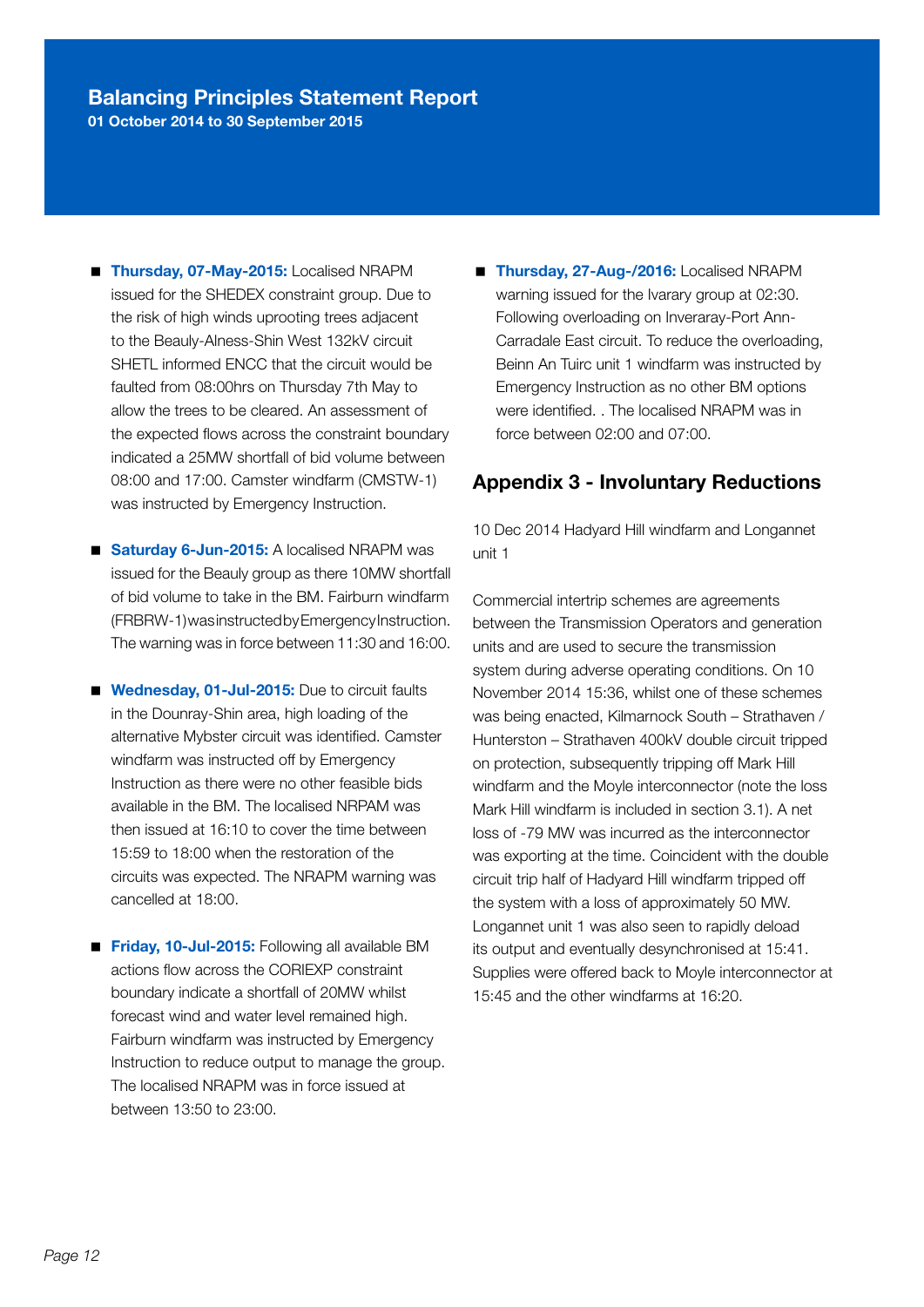01 October 2014 to 30 September 2015

- Thursday, 07-May-2015: Localised NRAPM issued for the SHEDEX constraint group. Due to the risk of high winds uprooting trees adjacent to the Beauly-Alness-Shin West 132kV circuit SHETL informed ENCC that the circuit would be faulted from 08:00hrs on Thursday 7th May to allow the trees to be cleared. An assessment of the expected flows across the constraint boundary indicated a 25MW shortfall of bid volume between 08:00 and 17:00. Camster windfarm (CMSTW-1) was instructed by Emergency Instruction.
- Saturday 6-Jun-2015: A localised NRAPM was issued for the Beauly group as there 10MW shortfall of bid volume to take in the BM. Fairburn windfarm (FRBRW-1) was instructed by Emergency Instruction. The warning was in force between 11:30 and 16:00.
- **Wednesday, 01-Jul-2015:** Due to circuit faults in the Dounray-Shin area, high loading of the alternative Mybster circuit was identified. Camster windfarm was instructed off by Emergency Instruction as there were no other feasible bids available in the BM. The localised NRPAM was then issued at 16:10 to cover the time between 15:59 to 18:00 when the restoration of the circuits was expected. The NRAPM warning was cancelled at 18:00.
- **Friday, 10-Jul-2015:** Following all available BM actions flow across the CORIEXP constraint boundary indicate a shortfall of 20MW whilst forecast wind and water level remained high. Fairburn windfarm was instructed by Emergency Instruction to reduce output to manage the group. The localised NRAPM was in force issued at between 13:50 to 23:00.

■ Thursday, 27-Aug-/2016: Localised NRAPM warning issued for the Ivarary group at 02:30. Following overloading on Inveraray-Port Ann-Carradale East circuit. To reduce the overloading, Beinn An Tuirc unit 1 windfarm was instructed by Emergency Instruction as no other BM options were identified. . The localised NRAPM was in force between 02:00 and 07:00.

#### Appendix 3 - Involuntary Reductions

10 Dec 2014 Hadyard Hill windfarm and Longannet unit 1

Commercial intertrip schemes are agreements between the Transmission Operators and generation units and are used to secure the transmission system during adverse operating conditions. On 10 November 2014 15:36, whilst one of these schemes was being enacted, Kilmarnock South – Strathaven / Hunterston – Strathaven 400kV double circuit tripped on protection, subsequently tripping off Mark Hill windfarm and the Moyle interconnector (note the loss Mark Hill windfarm is included in section 3.1). A net loss of -79 MW was incurred as the interconnector was exporting at the time. Coincident with the double circuit trip half of Hadyard Hill windfarm tripped off the system with a loss of approximately 50 MW. Longannet unit 1 was also seen to rapidly deload its output and eventually desynchronised at 15:41. Supplies were offered back to Moyle interconnector at 15:45 and the other windfarms at 16:20.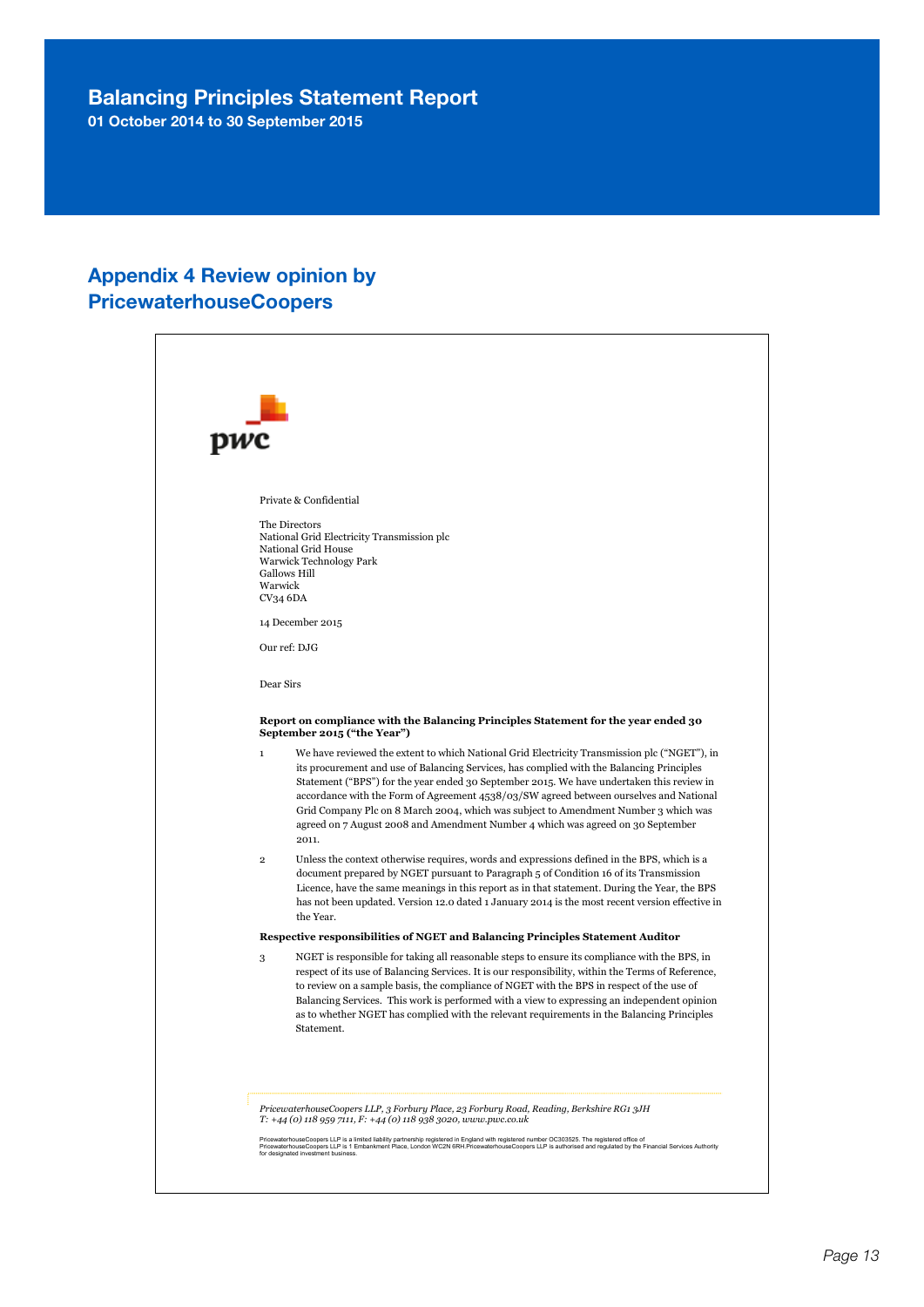01 October 2014 to 30 September 2015

#### Appendix 4 Review opinion by PricewaterhouseCoopers

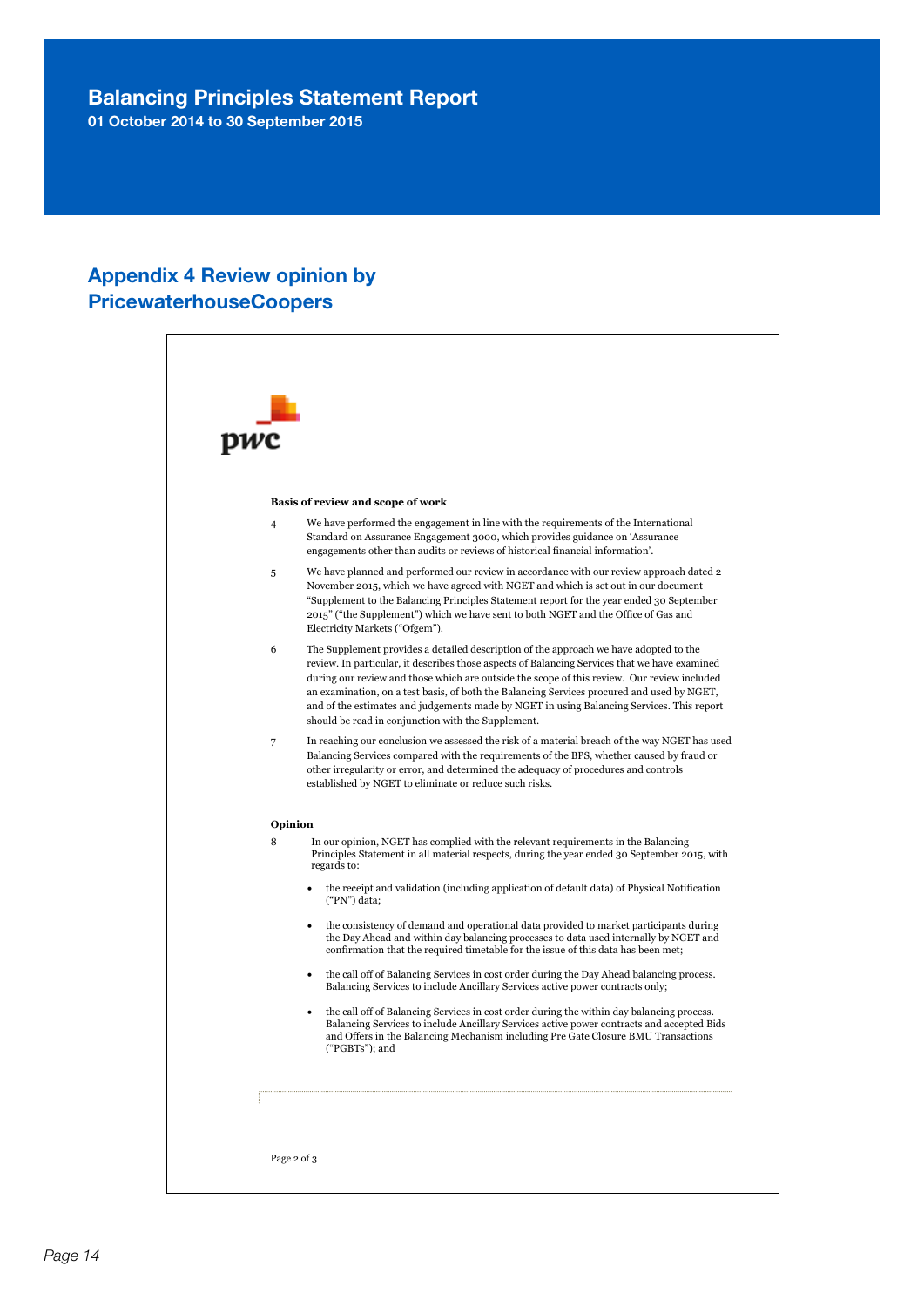01 October 2014 to 30 September 2015

#### Appendix 4 Review opinion by PricewaterhouseCoopers

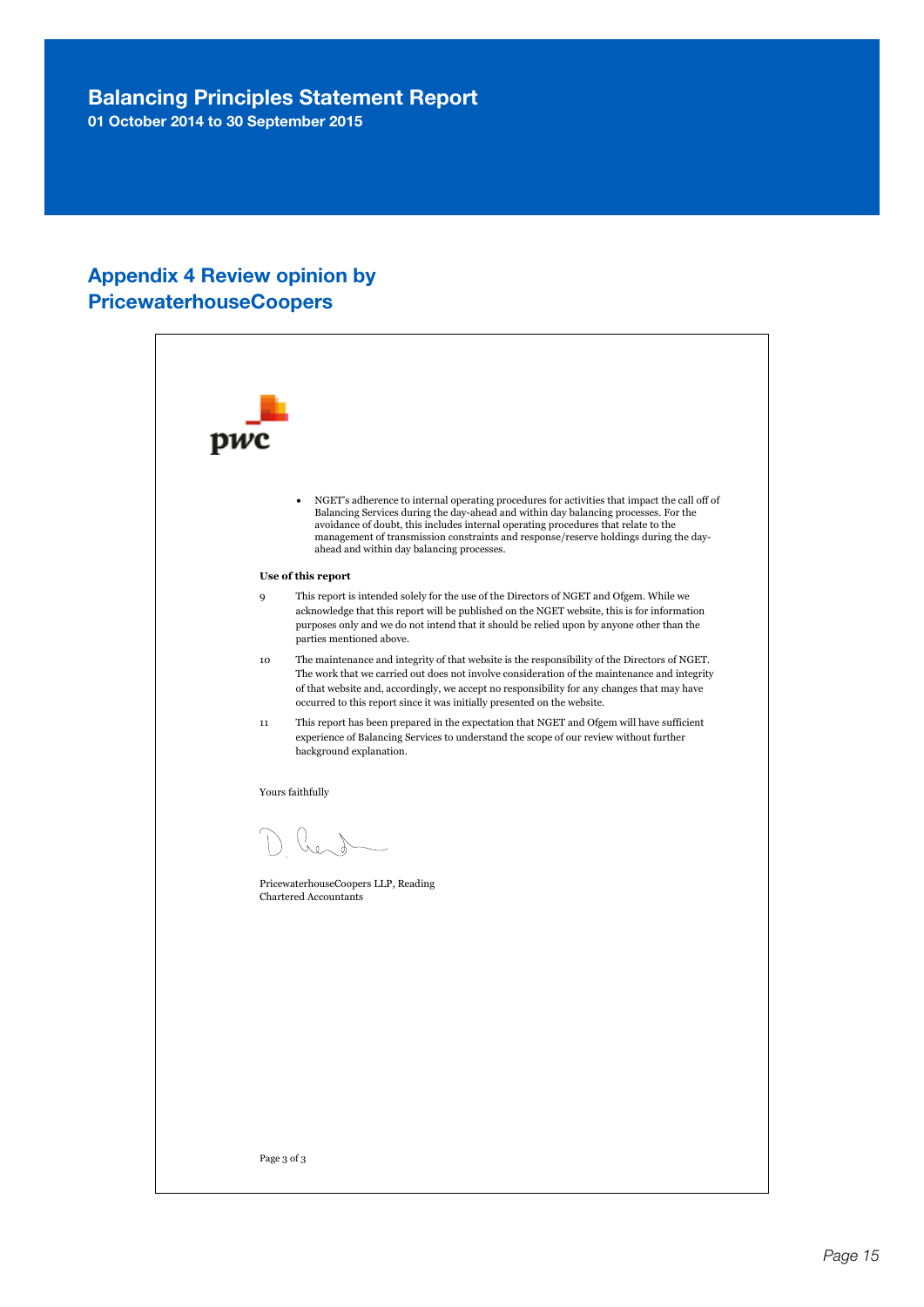01 October 2014 to 30 September 2015

#### Appendix 4 Review opinion by PricewaterhouseCoopers